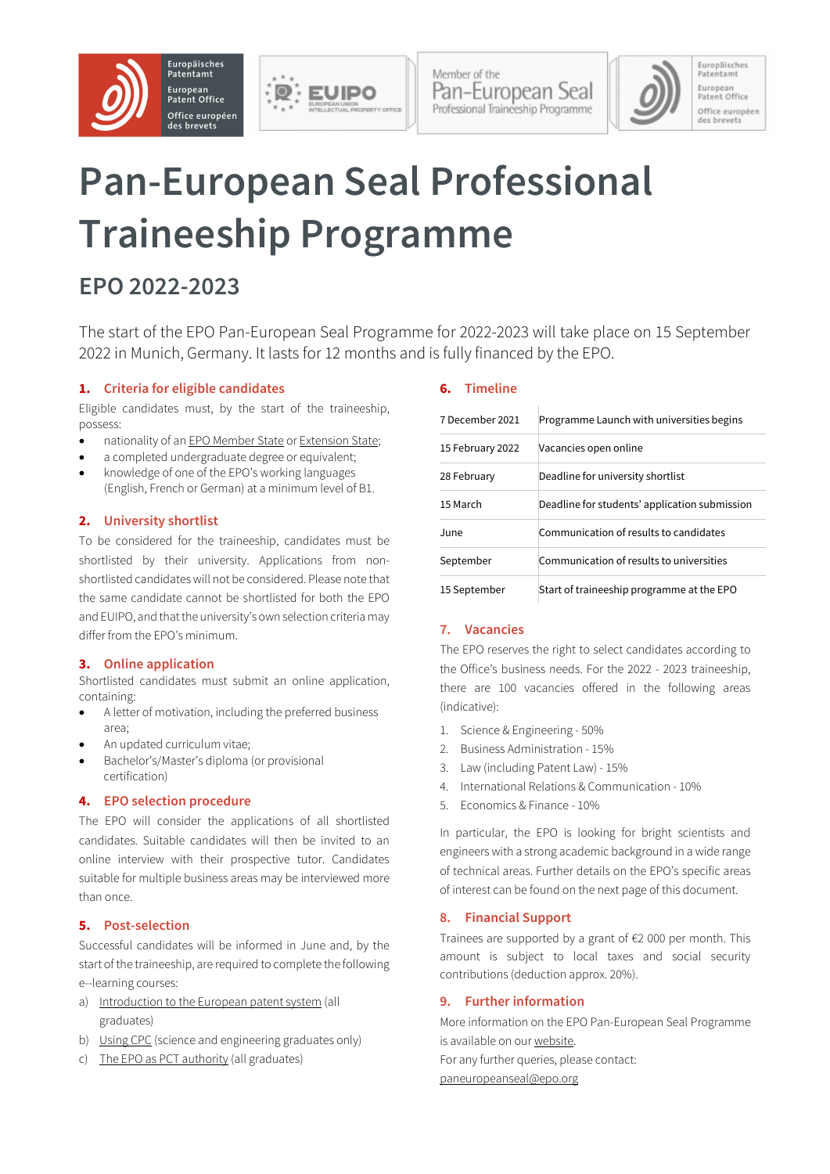



Member of the Pan-European Seal Professional Traineeship Programme Europäisches<br>Patentamt European<br>Patent Office Office européen des brevets

# **Pan-European Seal Professional Traineeship Programme**

# **EPO 2022-2023**

The start of the EPO Pan-European Seal Programme for 2022-2023 will take place on 15 September 2022 in Munich, Germany. It lasts for 12 months and is fully financed by the EPO.

#### **1. Criteria for eligible candidates**

Eligible candidates must, by the start of the traineeship, possess:

- nationality of an EPO [Member](https://www.epo.org/about-us/foundation/member-states.html) State or [Extension](https://www.epo.org/about-us/foundation/extension-states.html) State;
- a completed undergraduate degree or equivalent;
- knowledge of one of the EPO's working languages (English, French or German) at a minimum level of B1.

#### **2. University shortlist**

To be considered for the traineeship, candidates must be shortlisted by their university. Applications from nonshortlisted candidateswill not be considered. Please note that the same candidate cannot be shortlisted for both the EPO and EUIPO, and thatthe university's own selection criteria may differ from the EPO's minimum.

#### **3. Online application**

Shortlisted candidates must submit an online application, containing:

- A letter of motivation, including the preferred business area;
- An updated curriculum vitae;
- Bachelor's/Master's diploma (or provisional certification)

#### **4. EPO selection procedure**

The EPO will consider the applications of all shortlisted candidates. Suitable candidates will then be invited to an online interview with their prospective tutor. Candidates suitable for multiple business areas may be interviewed more than once.

#### **5. Post-selection**

Successful candidates will be informed in June and, by the start of the traineeship, are required to complete the following e--learning courses:

- a) [Introduction](https://e-courses.epo.org/enrol/index.php?id=70) to the European patent system (all graduates)
- b) [Using](https://e-courses.epo.org/enrol/index.php?id=90) CPC (science and engineering graduates only)
- c) The EPO as PCT [authority](https://e-courses.epo.org/enrol/index.php?id=71) (all graduates)

#### **6. Timeline**

| 7 December 2021  | Programme Launch with universities begins     |
|------------------|-----------------------------------------------|
| 15 February 2022 | Vacancies open online                         |
| 28 February      | Deadline for university shortlist             |
| 15 March         | Deadline for students' application submission |
| June             | Communication of results to candidates        |
| September        | Communication of results to universities      |
| 15 September     | Start of traineeship programme at the EPO     |

#### **7. Vacancies**

The EPO reserves the right to select candidates according to the Office's business needs. For the 2022 - 2023 traineeship, there are 100 vacancies offered in the following areas (indicative):

- 1. Science & Engineering 50%
- 2. Business Administration 15%
- 3. Law (including Patent Law) 15%
- 4. International Relations & Communication 10%
- 5. Economics & Finance 10%

In particular, the EPO is looking for bright scientists and engineers with a strong academic background in a wide range of technical areas. Further details on the EPO's specific areas of interest can be found on the next page of this document.

#### **8. Financial Support**

Trainees are supported by a grant of €2 000 per month. This amount is subject to local taxes and social security contributions (deduction approx. 20%).

#### **9. Further information**

More information on the EPO Pan-European Seal Programme is available on our [website.](https://jobs.epo.org/content/PanEuropeanSeal/?locale=en_GB) For any further queries, please contact: [paneuropeanseal@epo.org](mailto:paneuropeanseal@epo.org)